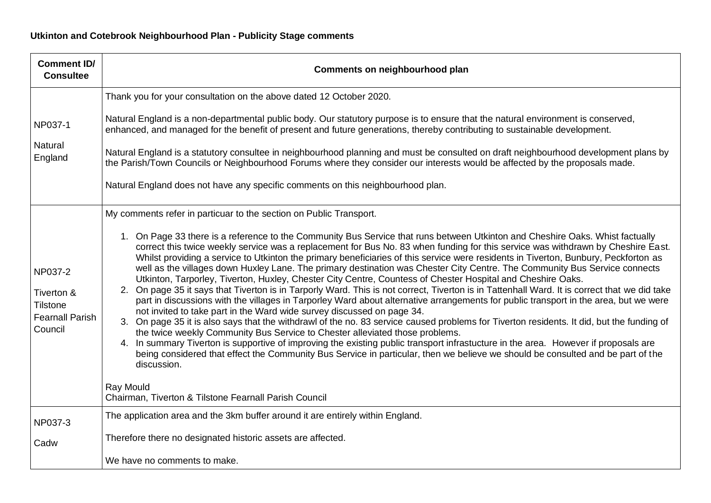| <b>Comment ID/</b><br><b>Consultee</b>                                        | Comments on neighbourhood plan                                                                                                                                                                                                                                                                                                                                                                                                                                                                                                                                                                                                                                                                                                                                                                                                                                                                                                                                                                                                                                                                                                                                                                                                                                                                                                                                                                                                                                                                                                                                                                                      |
|-------------------------------------------------------------------------------|---------------------------------------------------------------------------------------------------------------------------------------------------------------------------------------------------------------------------------------------------------------------------------------------------------------------------------------------------------------------------------------------------------------------------------------------------------------------------------------------------------------------------------------------------------------------------------------------------------------------------------------------------------------------------------------------------------------------------------------------------------------------------------------------------------------------------------------------------------------------------------------------------------------------------------------------------------------------------------------------------------------------------------------------------------------------------------------------------------------------------------------------------------------------------------------------------------------------------------------------------------------------------------------------------------------------------------------------------------------------------------------------------------------------------------------------------------------------------------------------------------------------------------------------------------------------------------------------------------------------|
| NP037-1<br>Natural<br>England                                                 | Thank you for your consultation on the above dated 12 October 2020.<br>Natural England is a non-departmental public body. Our statutory purpose is to ensure that the natural environment is conserved,<br>enhanced, and managed for the benefit of present and future generations, thereby contributing to sustainable development.<br>Natural England is a statutory consultee in neighbourhood planning and must be consulted on draft neighbourhood development plans by<br>the Parish/Town Councils or Neighbourhood Forums where they consider our interests would be affected by the proposals made.<br>Natural England does not have any specific comments on this neighbourhood plan.                                                                                                                                                                                                                                                                                                                                                                                                                                                                                                                                                                                                                                                                                                                                                                                                                                                                                                                      |
| NP037-2<br>Tiverton &<br><b>Tilstone</b><br><b>Fearnall Parish</b><br>Council | My comments refer in particuar to the section on Public Transport.<br>1. On Page 33 there is a reference to the Community Bus Service that runs between Utkinton and Cheshire Oaks. Whist factually<br>correct this twice weekly service was a replacement for Bus No. 83 when funding for this service was withdrawn by Cheshire East.<br>Whilst providing a service to Utkinton the primary beneficiaries of this service were residents in Tiverton, Bunbury, Peckforton as<br>well as the villages down Huxley Lane. The primary destination was Chester City Centre. The Community Bus Service connects<br>Utkinton, Tarporley, Tiverton, Huxley, Chester City Centre, Countess of Chester Hospital and Cheshire Oaks.<br>2. On page 35 it says that Tiverton is in Tarporly Ward. This is not correct, Tiverton is in Tattenhall Ward. It is correct that we did take<br>part in discussions with the villages in Tarporley Ward about alternative arrangements for public transport in the area, but we were<br>not invited to take part in the Ward wide survey discussed on page 34.<br>3. On page 35 it is also says that the withdrawl of the no. 83 service caused problems for Tiverton residents. It did, but the funding of<br>the twice weekly Community Bus Service to Chester alleviated those problems.<br>4. In summary Tiverton is supportive of improving the existing public transport infrastucture in the area. However if proposals are<br>being considered that effect the Community Bus Service in particular, then we believe we should be consulted and be part of the<br>discussion. |
|                                                                               | Ray Mould<br>Chairman, Tiverton & Tilstone Fearnall Parish Council                                                                                                                                                                                                                                                                                                                                                                                                                                                                                                                                                                                                                                                                                                                                                                                                                                                                                                                                                                                                                                                                                                                                                                                                                                                                                                                                                                                                                                                                                                                                                  |
| NP037-3<br>Cadw                                                               | The application area and the 3km buffer around it are entirely within England.<br>Therefore there no designated historic assets are affected.                                                                                                                                                                                                                                                                                                                                                                                                                                                                                                                                                                                                                                                                                                                                                                                                                                                                                                                                                                                                                                                                                                                                                                                                                                                                                                                                                                                                                                                                       |
|                                                                               | We have no comments to make.                                                                                                                                                                                                                                                                                                                                                                                                                                                                                                                                                                                                                                                                                                                                                                                                                                                                                                                                                                                                                                                                                                                                                                                                                                                                                                                                                                                                                                                                                                                                                                                        |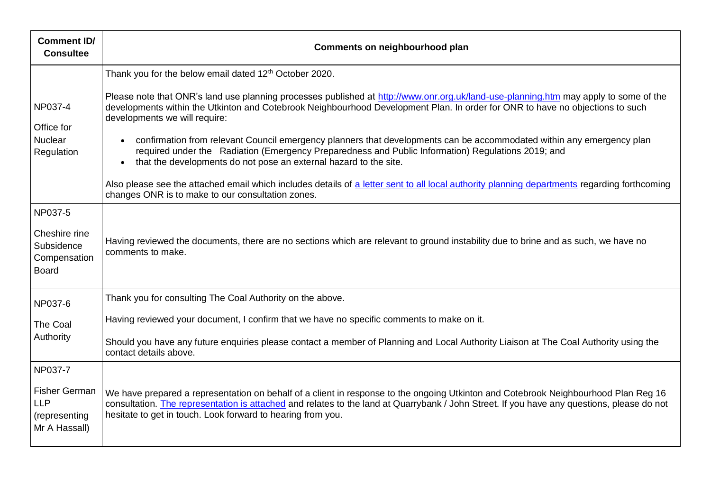| <b>Comment ID/</b><br><b>Consultee</b>                                 | Comments on neighbourhood plan                                                                                                                                                                                                                                                                                                                   |
|------------------------------------------------------------------------|--------------------------------------------------------------------------------------------------------------------------------------------------------------------------------------------------------------------------------------------------------------------------------------------------------------------------------------------------|
| NP037-4<br>Office for<br><b>Nuclear</b><br>Regulation                  | Thank you for the below email dated 12 <sup>th</sup> October 2020.                                                                                                                                                                                                                                                                               |
|                                                                        | Please note that ONR's land use planning processes published at http://www.onr.org.uk/land-use-planning.htm may apply to some of the<br>developments within the Utkinton and Cotebrook Neighbourhood Development Plan. In order for ONR to have no objections to such<br>developments we will require:                                           |
|                                                                        | confirmation from relevant Council emergency planners that developments can be accommodated within any emergency plan<br>$\bullet$<br>required under the Radiation (Emergency Preparedness and Public Information) Regulations 2019; and<br>that the developments do not pose an external hazard to the site.<br>$\bullet$                       |
|                                                                        | Also please see the attached email which includes details of a letter sent to all local authority planning departments regarding forthcoming<br>changes ONR is to make to our consultation zones.                                                                                                                                                |
| NP037-5<br>Cheshire rine<br>Subsidence<br>Compensation<br><b>Board</b> | Having reviewed the documents, there are no sections which are relevant to ground instability due to brine and as such, we have no<br>comments to make.                                                                                                                                                                                          |
| NP037-6                                                                | Thank you for consulting The Coal Authority on the above.                                                                                                                                                                                                                                                                                        |
| The Coal<br>Authority                                                  | Having reviewed your document, I confirm that we have no specific comments to make on it.                                                                                                                                                                                                                                                        |
|                                                                        | Should you have any future enquiries please contact a member of Planning and Local Authority Liaison at The Coal Authority using the<br>contact details above.                                                                                                                                                                                   |
| NP037-7                                                                |                                                                                                                                                                                                                                                                                                                                                  |
| <b>Fisher German</b><br><b>LLP</b><br>(representing<br>Mr A Hassall)   | We have prepared a representation on behalf of a client in response to the ongoing Utkinton and Cotebrook Neighbourhood Plan Reg 16<br>consultation. The representation is attached and relates to the land at Quarrybank / John Street. If you have any questions, please do not<br>hesitate to get in touch. Look forward to hearing from you. |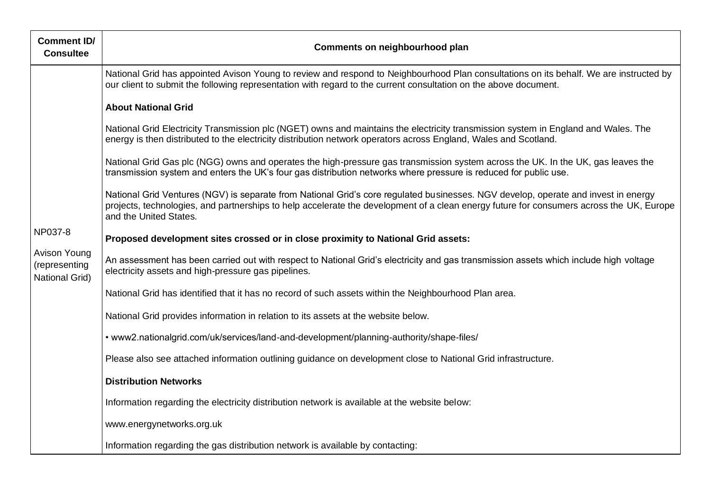| <b>Comment ID/</b><br><b>Consultee</b>                            | Comments on neighbourhood plan                                                                                                                                                                                                                                                                                                                                                                                                                                                                                                                                                                                                                                                                                                                                                                                                                                                                                                                                                                                                                                                         |
|-------------------------------------------------------------------|----------------------------------------------------------------------------------------------------------------------------------------------------------------------------------------------------------------------------------------------------------------------------------------------------------------------------------------------------------------------------------------------------------------------------------------------------------------------------------------------------------------------------------------------------------------------------------------------------------------------------------------------------------------------------------------------------------------------------------------------------------------------------------------------------------------------------------------------------------------------------------------------------------------------------------------------------------------------------------------------------------------------------------------------------------------------------------------|
| NP037-8<br>Avison Young<br>(representing<br><b>National Grid)</b> | National Grid has appointed Avison Young to review and respond to Neighbourhood Plan consultations on its behalf. We are instructed by<br>our client to submit the following representation with regard to the current consultation on the above document.                                                                                                                                                                                                                                                                                                                                                                                                                                                                                                                                                                                                                                                                                                                                                                                                                             |
|                                                                   | <b>About National Grid</b><br>National Grid Electricity Transmission plc (NGET) owns and maintains the electricity transmission system in England and Wales. The<br>energy is then distributed to the electricity distribution network operators across England, Wales and Scotland.<br>National Grid Gas plc (NGG) owns and operates the high-pressure gas transmission system across the UK. In the UK, gas leaves the<br>transmission system and enters the UK's four gas distribution networks where pressure is reduced for public use.<br>National Grid Ventures (NGV) is separate from National Grid's core regulated businesses. NGV develop, operate and invest in energy<br>projects, technologies, and partnerships to help accelerate the development of a clean energy future for consumers across the UK, Europe<br>and the United States.<br>Proposed development sites crossed or in close proximity to National Grid assets:<br>An assessment has been carried out with respect to National Grid's electricity and gas transmission assets which include high voltage |
|                                                                   | electricity assets and high-pressure gas pipelines.<br>National Grid has identified that it has no record of such assets within the Neighbourhood Plan area.<br>National Grid provides information in relation to its assets at the website below.<br>• www2.nationalgrid.com/uk/services/land-and-development/planning-authority/shape-files/                                                                                                                                                                                                                                                                                                                                                                                                                                                                                                                                                                                                                                                                                                                                         |
|                                                                   | Please also see attached information outlining guidance on development close to National Grid infrastructure.<br><b>Distribution Networks</b>                                                                                                                                                                                                                                                                                                                                                                                                                                                                                                                                                                                                                                                                                                                                                                                                                                                                                                                                          |
|                                                                   | Information regarding the electricity distribution network is available at the website below:<br>www.energynetworks.org.uk                                                                                                                                                                                                                                                                                                                                                                                                                                                                                                                                                                                                                                                                                                                                                                                                                                                                                                                                                             |
|                                                                   | Information regarding the gas distribution network is available by contacting:                                                                                                                                                                                                                                                                                                                                                                                                                                                                                                                                                                                                                                                                                                                                                                                                                                                                                                                                                                                                         |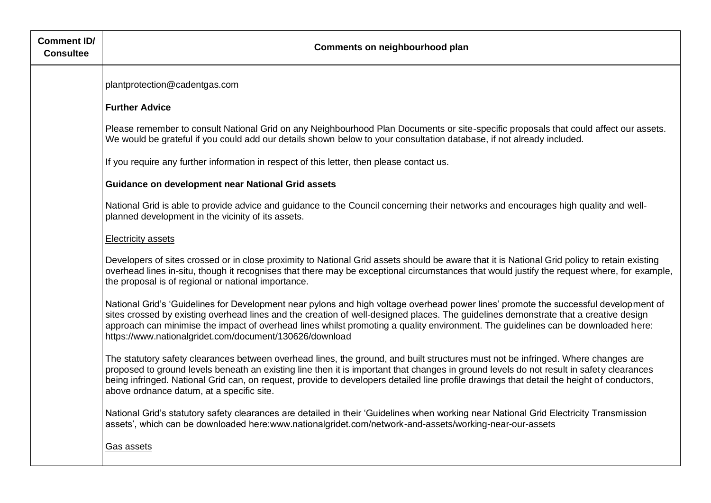| <b>Comment ID/</b><br><b>Consultee</b> | Comments on neighbourhood plan                                                                                                                                                                                                                                                                                                                                                                                                                                               |
|----------------------------------------|------------------------------------------------------------------------------------------------------------------------------------------------------------------------------------------------------------------------------------------------------------------------------------------------------------------------------------------------------------------------------------------------------------------------------------------------------------------------------|
|                                        | plantprotection@cadentgas.com                                                                                                                                                                                                                                                                                                                                                                                                                                                |
|                                        | <b>Further Advice</b>                                                                                                                                                                                                                                                                                                                                                                                                                                                        |
|                                        | Please remember to consult National Grid on any Neighbourhood Plan Documents or site-specific proposals that could affect our assets.<br>We would be grateful if you could add our details shown below to your consultation database, if not already included.                                                                                                                                                                                                               |
|                                        | If you require any further information in respect of this letter, then please contact us.                                                                                                                                                                                                                                                                                                                                                                                    |
|                                        | <b>Guidance on development near National Grid assets</b>                                                                                                                                                                                                                                                                                                                                                                                                                     |
|                                        | National Grid is able to provide advice and guidance to the Council concerning their networks and encourages high quality and well-<br>planned development in the vicinity of its assets.                                                                                                                                                                                                                                                                                    |
|                                        | <b>Electricity assets</b>                                                                                                                                                                                                                                                                                                                                                                                                                                                    |
|                                        | Developers of sites crossed or in close proximity to National Grid assets should be aware that it is National Grid policy to retain existing<br>overhead lines in-situ, though it recognises that there may be exceptional circumstances that would justify the request where, for example,<br>the proposal is of regional or national importance.                                                                                                                           |
|                                        | National Grid's 'Guidelines for Development near pylons and high voltage overhead power lines' promote the successful development of<br>sites crossed by existing overhead lines and the creation of well-designed places. The guidelines demonstrate that a creative design<br>approach can minimise the impact of overhead lines whilst promoting a quality environment. The guidelines can be downloaded here:<br>https://www.nationalgridet.com/document/130626/download |
|                                        | The statutory safety clearances between overhead lines, the ground, and built structures must not be infringed. Where changes are<br>proposed to ground levels beneath an existing line then it is important that changes in ground levels do not result in safety clearances<br>being infringed. National Grid can, on request, provide to developers detailed line profile drawings that detail the height of conductors,<br>above ordnance datum, at a specific site.     |
|                                        | National Grid's statutory safety clearances are detailed in their 'Guidelines when working near National Grid Electricity Transmission<br>assets', which can be downloaded here:www.nationalgridet.com/network-and-assets/working-near-our-assets                                                                                                                                                                                                                            |
|                                        | Gas assets                                                                                                                                                                                                                                                                                                                                                                                                                                                                   |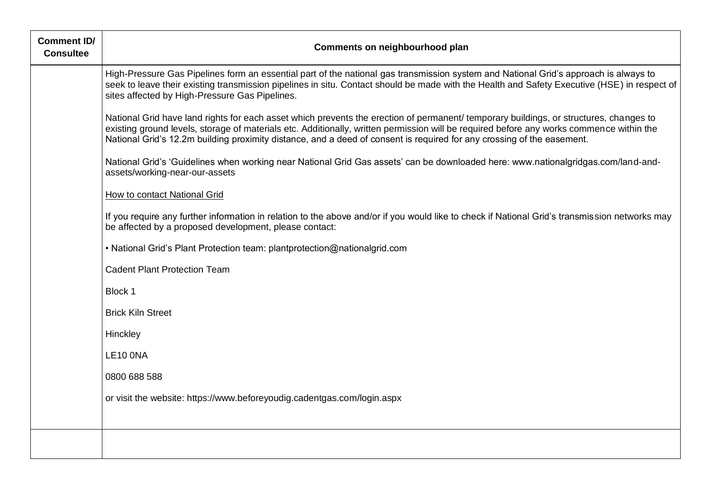| <b>Comment ID/</b><br><b>Consultee</b> | Comments on neighbourhood plan                                                                                                                                                                                                                                                                                                                                                                               |
|----------------------------------------|--------------------------------------------------------------------------------------------------------------------------------------------------------------------------------------------------------------------------------------------------------------------------------------------------------------------------------------------------------------------------------------------------------------|
|                                        | High-Pressure Gas Pipelines form an essential part of the national gas transmission system and National Grid's approach is always to<br>seek to leave their existing transmission pipelines in situ. Contact should be made with the Health and Safety Executive (HSE) in respect of<br>sites affected by High-Pressure Gas Pipelines.                                                                       |
|                                        | National Grid have land rights for each asset which prevents the erection of permanent/ temporary buildings, or structures, changes to<br>existing ground levels, storage of materials etc. Additionally, written permission will be required before any works commence within the<br>National Grid's 12.2m building proximity distance, and a deed of consent is required for any crossing of the easement. |
|                                        | National Grid's 'Guidelines when working near National Grid Gas assets' can be downloaded here: www.nationalgridgas.com/land-and-<br>assets/working-near-our-assets                                                                                                                                                                                                                                          |
|                                        | How to contact National Grid                                                                                                                                                                                                                                                                                                                                                                                 |
|                                        | If you require any further information in relation to the above and/or if you would like to check if National Grid's transmission networks may<br>be affected by a proposed development, please contact:                                                                                                                                                                                                     |
|                                        | • National Grid's Plant Protection team: plantprotection@nationalgrid.com                                                                                                                                                                                                                                                                                                                                    |
|                                        | <b>Cadent Plant Protection Team</b>                                                                                                                                                                                                                                                                                                                                                                          |
|                                        | Block 1                                                                                                                                                                                                                                                                                                                                                                                                      |
|                                        | <b>Brick Kiln Street</b>                                                                                                                                                                                                                                                                                                                                                                                     |
|                                        | Hinckley                                                                                                                                                                                                                                                                                                                                                                                                     |
|                                        | LE10 ONA                                                                                                                                                                                                                                                                                                                                                                                                     |
|                                        | 0800 688 588                                                                                                                                                                                                                                                                                                                                                                                                 |
|                                        | or visit the website: https://www.beforeyoudig.cadentgas.com/login.aspx                                                                                                                                                                                                                                                                                                                                      |
|                                        |                                                                                                                                                                                                                                                                                                                                                                                                              |
|                                        |                                                                                                                                                                                                                                                                                                                                                                                                              |
|                                        |                                                                                                                                                                                                                                                                                                                                                                                                              |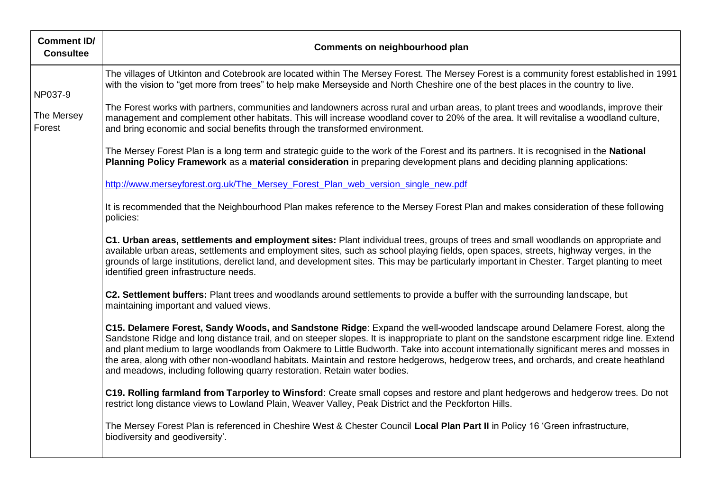| <b>Comment ID/</b><br><b>Consultee</b> | Comments on neighbourhood plan                                                                                                                                                                                                                                                                                                                                                                                                                                                                                                                                                                                                           |
|----------------------------------------|------------------------------------------------------------------------------------------------------------------------------------------------------------------------------------------------------------------------------------------------------------------------------------------------------------------------------------------------------------------------------------------------------------------------------------------------------------------------------------------------------------------------------------------------------------------------------------------------------------------------------------------|
| NP037-9                                | The villages of Utkinton and Cotebrook are located within The Mersey Forest. The Mersey Forest is a community forest established in 1991<br>with the vision to "get more from trees" to help make Merseyside and North Cheshire one of the best places in the country to live.                                                                                                                                                                                                                                                                                                                                                           |
| The Mersey<br>Forest                   | The Forest works with partners, communities and landowners across rural and urban areas, to plant trees and woodlands, improve their<br>management and complement other habitats. This will increase woodland cover to 20% of the area. It will revitalise a woodland culture,<br>and bring economic and social benefits through the transformed environment.                                                                                                                                                                                                                                                                            |
|                                        | The Mersey Forest Plan is a long term and strategic guide to the work of the Forest and its partners. It is recognised in the National<br>Planning Policy Framework as a material consideration in preparing development plans and deciding planning applications:                                                                                                                                                                                                                                                                                                                                                                       |
|                                        | http://www.merseyforest.org.uk/The_Mersey_Forest_Plan_web_version_single_new.pdf                                                                                                                                                                                                                                                                                                                                                                                                                                                                                                                                                         |
|                                        | It is recommended that the Neighbourhood Plan makes reference to the Mersey Forest Plan and makes consideration of these following<br>policies:                                                                                                                                                                                                                                                                                                                                                                                                                                                                                          |
|                                        | C1. Urban areas, settlements and employment sites: Plant individual trees, groups of trees and small woodlands on appropriate and<br>available urban areas, settlements and employment sites, such as school playing fields, open spaces, streets, highway verges, in the<br>grounds of large institutions, derelict land, and development sites. This may be particularly important in Chester. Target planting to meet<br>identified green infrastructure needs.                                                                                                                                                                       |
|                                        | C2. Settlement buffers: Plant trees and woodlands around settlements to provide a buffer with the surrounding landscape, but<br>maintaining important and valued views.                                                                                                                                                                                                                                                                                                                                                                                                                                                                  |
|                                        | C15. Delamere Forest, Sandy Woods, and Sandstone Ridge: Expand the well-wooded landscape around Delamere Forest, along the<br>Sandstone Ridge and long distance trail, and on steeper slopes. It is inappropriate to plant on the sandstone escarpment ridge line. Extend<br>and plant medium to large woodlands from Oakmere to Little Budworth. Take into account internationally significant meres and mosses in<br>the area, along with other non-woodland habitats. Maintain and restore hedgerows, hedgerow trees, and orchards, and create heathland<br>and meadows, including following quarry restoration. Retain water bodies. |
|                                        | C19. Rolling farmland from Tarporley to Winsford: Create small copses and restore and plant hedgerows and hedgerow trees. Do not<br>restrict long distance views to Lowland Plain, Weaver Valley, Peak District and the Peckforton Hills.                                                                                                                                                                                                                                                                                                                                                                                                |
|                                        | The Mersey Forest Plan is referenced in Cheshire West & Chester Council Local Plan Part II in Policy 16 'Green infrastructure,<br>biodiversity and geodiversity'.                                                                                                                                                                                                                                                                                                                                                                                                                                                                        |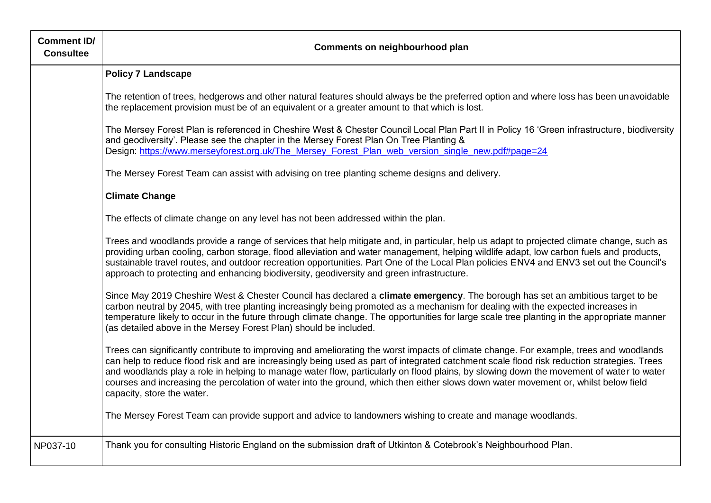| <b>Comment ID/</b><br><b>Consultee</b> | Comments on neighbourhood plan                                                                                                                                                                                                                                                                                                                                                                                                                                                                                                                                                                       |
|----------------------------------------|------------------------------------------------------------------------------------------------------------------------------------------------------------------------------------------------------------------------------------------------------------------------------------------------------------------------------------------------------------------------------------------------------------------------------------------------------------------------------------------------------------------------------------------------------------------------------------------------------|
|                                        | <b>Policy 7 Landscape</b>                                                                                                                                                                                                                                                                                                                                                                                                                                                                                                                                                                            |
|                                        | The retention of trees, hedgerows and other natural features should always be the preferred option and where loss has been unavoidable<br>the replacement provision must be of an equivalent or a greater amount to that which is lost.                                                                                                                                                                                                                                                                                                                                                              |
|                                        | The Mersey Forest Plan is referenced in Cheshire West & Chester Council Local Plan Part II in Policy 16 'Green infrastructure, biodiversity<br>and geodiversity'. Please see the chapter in the Mersey Forest Plan On Tree Planting &<br>Design: https://www.merseyforest.org.uk/The_Mersey_Forest_Plan_web_version_single_new.pdf#page=24                                                                                                                                                                                                                                                           |
|                                        | The Mersey Forest Team can assist with advising on tree planting scheme designs and delivery.                                                                                                                                                                                                                                                                                                                                                                                                                                                                                                        |
|                                        | <b>Climate Change</b>                                                                                                                                                                                                                                                                                                                                                                                                                                                                                                                                                                                |
|                                        | The effects of climate change on any level has not been addressed within the plan.                                                                                                                                                                                                                                                                                                                                                                                                                                                                                                                   |
|                                        | Trees and woodlands provide a range of services that help mitigate and, in particular, help us adapt to projected climate change, such as<br>providing urban cooling, carbon storage, flood alleviation and water management, helping wildlife adapt, low carbon fuels and products,<br>sustainable travel routes, and outdoor recreation opportunities. Part One of the Local Plan policies ENV4 and ENV3 set out the Council's<br>approach to protecting and enhancing biodiversity, geodiversity and green infrastructure.                                                                        |
|                                        | Since May 2019 Cheshire West & Chester Council has declared a climate emergency. The borough has set an ambitious target to be<br>carbon neutral by 2045, with tree planting increasingly being promoted as a mechanism for dealing with the expected increases in<br>temperature likely to occur in the future through climate change. The opportunities for large scale tree planting in the appropriate manner<br>(as detailed above in the Mersey Forest Plan) should be included.                                                                                                               |
|                                        | Trees can significantly contribute to improving and ameliorating the worst impacts of climate change. For example, trees and woodlands<br>can help to reduce flood risk and are increasingly being used as part of integrated catchment scale flood risk reduction strategies. Trees<br>and woodlands play a role in helping to manage water flow, particularly on flood plains, by slowing down the movement of water to water<br>courses and increasing the percolation of water into the ground, which then either slows down water movement or, whilst below field<br>capacity, store the water. |
|                                        | The Mersey Forest Team can provide support and advice to landowners wishing to create and manage woodlands.                                                                                                                                                                                                                                                                                                                                                                                                                                                                                          |
| NP037-10                               | Thank you for consulting Historic England on the submission draft of Utkinton & Cotebrook's Neighbourhood Plan.                                                                                                                                                                                                                                                                                                                                                                                                                                                                                      |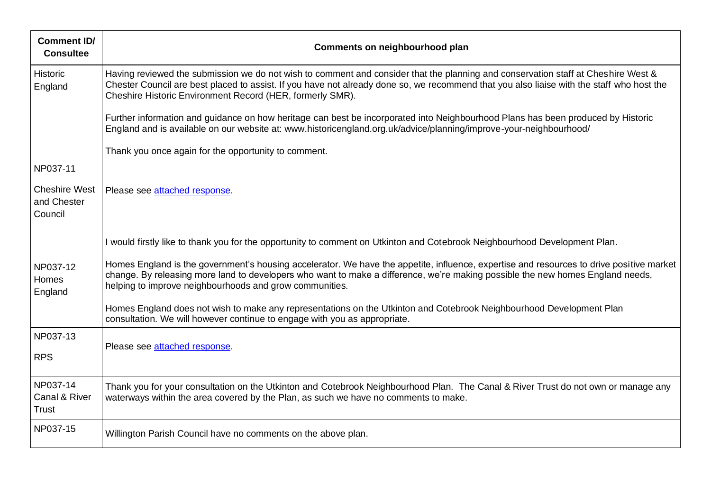| <b>Comment ID/</b><br><b>Consultee</b>         | Comments on neighbourhood plan                                                                                                                                                                                                                                                                                                              |
|------------------------------------------------|---------------------------------------------------------------------------------------------------------------------------------------------------------------------------------------------------------------------------------------------------------------------------------------------------------------------------------------------|
| <b>Historic</b><br>England                     | Having reviewed the submission we do not wish to comment and consider that the planning and conservation staff at Cheshire West &<br>Chester Council are best placed to assist. If you have not already done so, we recommend that you also liaise with the staff who host the<br>Cheshire Historic Environment Record (HER, formerly SMR). |
|                                                | Further information and guidance on how heritage can best be incorporated into Neighbourhood Plans has been produced by Historic<br>England and is available on our website at: www.historicengland.org.uk/advice/planning/improve-your-neighbourhood/                                                                                      |
|                                                | Thank you once again for the opportunity to comment.                                                                                                                                                                                                                                                                                        |
| NP037-11                                       |                                                                                                                                                                                                                                                                                                                                             |
| <b>Cheshire West</b><br>and Chester<br>Council | Please see attached response.                                                                                                                                                                                                                                                                                                               |
|                                                | I would firstly like to thank you for the opportunity to comment on Utkinton and Cotebrook Neighbourhood Development Plan.                                                                                                                                                                                                                  |
| NP037-12<br>Homes<br>England                   | Homes England is the government's housing accelerator. We have the appetite, influence, expertise and resources to drive positive market<br>change. By releasing more land to developers who want to make a difference, we're making possible the new homes England needs,<br>helping to improve neighbourhoods and grow communities.       |
|                                                | Homes England does not wish to make any representations on the Utkinton and Cotebrook Neighbourhood Development Plan<br>consultation. We will however continue to engage with you as appropriate.                                                                                                                                           |
| NP037-13                                       | Please see attached response.                                                                                                                                                                                                                                                                                                               |
| <b>RPS</b>                                     |                                                                                                                                                                                                                                                                                                                                             |
| NP037-14<br>Canal & River<br><b>Trust</b>      | Thank you for your consultation on the Utkinton and Cotebrook Neighbourhood Plan. The Canal & River Trust do not own or manage any<br>waterways within the area covered by the Plan, as such we have no comments to make.                                                                                                                   |
| NP037-15                                       | Willington Parish Council have no comments on the above plan.                                                                                                                                                                                                                                                                               |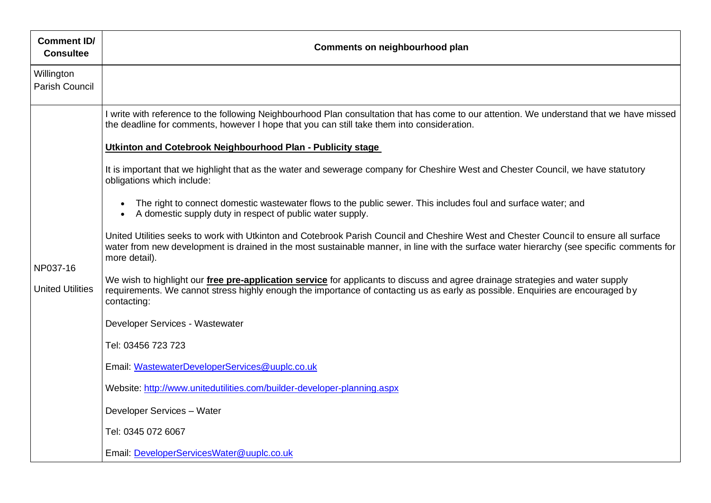| <b>Comment ID/</b><br><b>Consultee</b> | Comments on neighbourhood plan                                                                                                                                                                                                                                                                      |
|----------------------------------------|-----------------------------------------------------------------------------------------------------------------------------------------------------------------------------------------------------------------------------------------------------------------------------------------------------|
| Willington<br>Parish Council           |                                                                                                                                                                                                                                                                                                     |
|                                        | I write with reference to the following Neighbourhood Plan consultation that has come to our attention. We understand that we have missed<br>the deadline for comments, however I hope that you can still take them into consideration.                                                             |
|                                        | Utkinton and Cotebrook Neighbourhood Plan - Publicity stage                                                                                                                                                                                                                                         |
| NP037-16<br><b>United Utilities</b>    | It is important that we highlight that as the water and sewerage company for Cheshire West and Chester Council, we have statutory<br>obligations which include:                                                                                                                                     |
|                                        | The right to connect domestic wastewater flows to the public sewer. This includes foul and surface water; and<br>$\bullet$<br>A domestic supply duty in respect of public water supply.                                                                                                             |
|                                        | United Utilities seeks to work with Utkinton and Cotebrook Parish Council and Cheshire West and Chester Council to ensure all surface<br>water from new development is drained in the most sustainable manner, in line with the surface water hierarchy (see specific comments for<br>more detail). |
|                                        | We wish to highlight our <i>free pre-application service</i> for applicants to discuss and agree drainage strategies and water supply<br>requirements. We cannot stress highly enough the importance of contacting us as early as possible. Enquiries are encouraged by<br>contacting:              |
|                                        | Developer Services - Wastewater                                                                                                                                                                                                                                                                     |
|                                        | Tel: 03456 723 723                                                                                                                                                                                                                                                                                  |
|                                        | Email: WastewaterDeveloperServices@uuplc.co.uk                                                                                                                                                                                                                                                      |
|                                        | Website: http://www.unitedutilities.com/builder-developer-planning.aspx                                                                                                                                                                                                                             |
|                                        | Developer Services - Water                                                                                                                                                                                                                                                                          |
|                                        | Tel: 0345 072 6067                                                                                                                                                                                                                                                                                  |
|                                        | Email: DeveloperServicesWater@uuplc.co.uk                                                                                                                                                                                                                                                           |